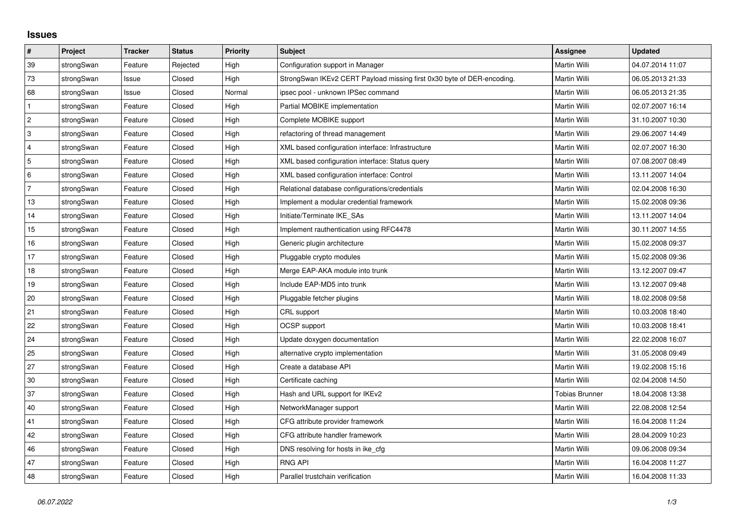## **Issues**

| #              | Project    | <b>Tracker</b> | <b>Status</b> | <b>Priority</b> | <b>Subject</b>                                                         | <b>Assignee</b>       | <b>Updated</b>   |
|----------------|------------|----------------|---------------|-----------------|------------------------------------------------------------------------|-----------------------|------------------|
| 39             | strongSwan | Feature        | Rejected      | High            | Configuration support in Manager                                       | <b>Martin Willi</b>   | 04.07.2014 11:07 |
| 73             | strongSwan | Issue          | Closed        | High            | StrongSwan IKEv2 CERT Payload missing first 0x30 byte of DER-encoding. | Martin Willi          | 06.05.2013 21:33 |
| 68             | strongSwan | Issue          | Closed        | Normal          | ipsec pool - unknown IPSec command                                     | Martin Willi          | 06.05.2013 21:35 |
| $\mathbf{1}$   | strongSwan | Feature        | Closed        | High            | Partial MOBIKE implementation                                          | Martin Willi          | 02.07.2007 16:14 |
| $\overline{2}$ | strongSwan | Feature        | Closed        | High            | Complete MOBIKE support                                                | Martin Willi          | 31.10.2007 10:30 |
| $\overline{3}$ | strongSwan | Feature        | Closed        | High            | refactoring of thread management                                       | Martin Willi          | 29.06.2007 14:49 |
| $\overline{4}$ | strongSwan | Feature        | Closed        | High            | XML based configuration interface: Infrastructure                      | Martin Willi          | 02.07.2007 16:30 |
| 5              | strongSwan | Feature        | Closed        | High            | XML based configuration interface: Status query                        | Martin Willi          | 07.08.2007 08:49 |
| 6              | strongSwan | Feature        | Closed        | High            | XML based configuration interface: Control                             | Martin Willi          | 13.11.2007 14:04 |
| $\overline{7}$ | strongSwan | Feature        | Closed        | High            | Relational database configurations/credentials                         | Martin Willi          | 02.04.2008 16:30 |
| 13             | strongSwan | Feature        | Closed        | High            | Implement a modular credential framework                               | Martin Willi          | 15.02.2008 09:36 |
| 14             | strongSwan | Feature        | Closed        | High            | Initiate/Terminate IKE SAs                                             | Martin Willi          | 13.11.2007 14:04 |
| 15             | strongSwan | Feature        | Closed        | High            | Implement rauthentication using RFC4478                                | Martin Willi          | 30.11.2007 14:55 |
| 16             | strongSwan | Feature        | Closed        | High            | Generic plugin architecture                                            | Martin Willi          | 15.02.2008 09:37 |
| 17             | strongSwan | Feature        | Closed        | High            | Pluggable crypto modules                                               | Martin Willi          | 15.02.2008 09:36 |
| 18             | strongSwan | Feature        | Closed        | High            | Merge EAP-AKA module into trunk                                        | Martin Willi          | 13.12.2007 09:47 |
| 19             | strongSwan | Feature        | Closed        | High            | Include EAP-MD5 into trunk                                             | Martin Willi          | 13.12.2007 09:48 |
| 20             | strongSwan | Feature        | Closed        | High            | Pluggable fetcher plugins                                              | Martin Willi          | 18.02.2008 09:58 |
| 21             | strongSwan | Feature        | Closed        | High            | CRL support                                                            | Martin Willi          | 10.03.2008 18:40 |
| 22             | strongSwan | Feature        | Closed        | High            | <b>OCSP</b> support                                                    | Martin Willi          | 10.03.2008 18:41 |
| 24             | strongSwan | Feature        | Closed        | High            | Update doxygen documentation                                           | Martin Willi          | 22.02.2008 16:07 |
| 25             | strongSwan | Feature        | Closed        | High            | alternative crypto implementation                                      | Martin Willi          | 31.05.2008 09:49 |
| 27             | strongSwan | Feature        | Closed        | High            | Create a database API                                                  | Martin Willi          | 19.02.2008 15:16 |
| $30\,$         | strongSwan | Feature        | Closed        | High            | Certificate caching                                                    | Martin Willi          | 02.04.2008 14:50 |
| 37             | strongSwan | Feature        | Closed        | High            | Hash and URL support for IKEv2                                         | <b>Tobias Brunner</b> | 18.04.2008 13:38 |
| $40\,$         | strongSwan | Feature        | Closed        | High            | NetworkManager support                                                 | Martin Willi          | 22.08.2008 12:54 |
| 41             | strongSwan | Feature        | Closed        | High            | CFG attribute provider framework                                       | Martin Willi          | 16.04.2008 11:24 |
| 42             | strongSwan | Feature        | Closed        | High            | CFG attribute handler framework                                        | Martin Willi          | 28.04.2009 10:23 |
| 46             | strongSwan | Feature        | Closed        | High            | DNS resolving for hosts in ike_cfg                                     | Martin Willi          | 09.06.2008 09:34 |
| 47             | strongSwan | Feature        | Closed        | High            | <b>RNG API</b>                                                         | Martin Willi          | 16.04.2008 11:27 |
| 48             | strongSwan | Feature        | Closed        | High            | Parallel trustchain verification                                       | Martin Willi          | 16.04.2008 11:33 |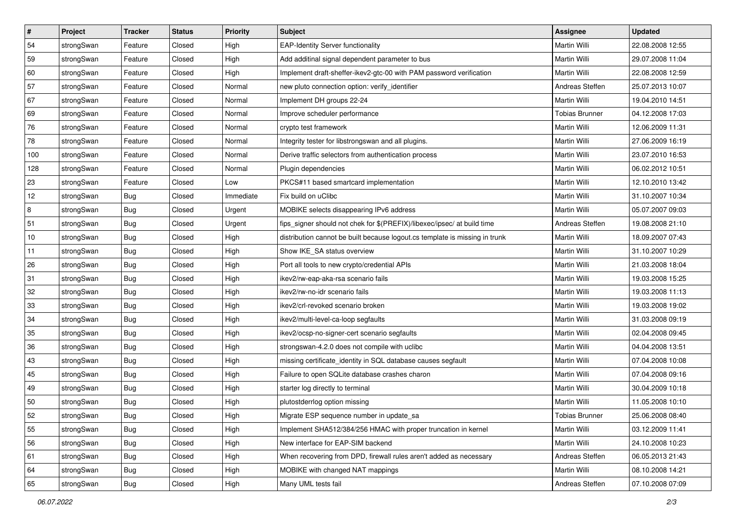| $\sharp$ | Project    | <b>Tracker</b> | <b>Status</b> | Priority  | <b>Subject</b>                                                              | <b>Assignee</b>       | <b>Updated</b>   |
|----------|------------|----------------|---------------|-----------|-----------------------------------------------------------------------------|-----------------------|------------------|
| 54       | strongSwan | Feature        | Closed        | High      | <b>EAP-Identity Server functionality</b>                                    | Martin Willi          | 22.08.2008 12:55 |
| 59       | strongSwan | Feature        | Closed        | High      | Add additinal signal dependent parameter to bus                             | Martin Willi          | 29.07.2008 11:04 |
| 60       | strongSwan | Feature        | Closed        | High      | Implement draft-sheffer-ikev2-gtc-00 with PAM password verification         | Martin Willi          | 22.08.2008 12:59 |
| 57       | strongSwan | Feature        | Closed        | Normal    | new pluto connection option: verify_identifier                              | Andreas Steffen       | 25.07.2013 10:07 |
| 67       | strongSwan | Feature        | Closed        | Normal    | Implement DH groups 22-24                                                   | Martin Willi          | 19.04.2010 14:51 |
| 69       | strongSwan | Feature        | Closed        | Normal    | Improve scheduler performance                                               | <b>Tobias Brunner</b> | 04.12.2008 17:03 |
| 76       | strongSwan | Feature        | Closed        | Normal    | crypto test framework                                                       | Martin Willi          | 12.06.2009 11:31 |
| 78       | strongSwan | Feature        | Closed        | Normal    | Integrity tester for libstrongswan and all plugins.                         | Martin Willi          | 27.06.2009 16:19 |
| 100      | strongSwan | Feature        | Closed        | Normal    | Derive traffic selectors from authentication process                        | Martin Willi          | 23.07.2010 16:53 |
| 128      | strongSwan | Feature        | Closed        | Normal    | Plugin dependencies                                                         | Martin Willi          | 06.02.2012 10:51 |
| 23       | strongSwan | Feature        | Closed        | Low       | PKCS#11 based smartcard implementation                                      | Martin Willi          | 12.10.2010 13:42 |
| 12       | strongSwan | Bug            | Closed        | Immediate | Fix build on uClibc                                                         | Martin Willi          | 31.10.2007 10:34 |
| 8        | strongSwan | Bug            | Closed        | Urgent    | MOBIKE selects disappearing IPv6 address                                    | Martin Willi          | 05.07.2007 09:03 |
| 51       | strongSwan | Bug            | Closed        | Urgent    | fips_signer should not chek for \$(PREFIX)/libexec/ipsec/ at build time     | Andreas Steffen       | 19.08.2008 21:10 |
| 10       | strongSwan | <b>Bug</b>     | Closed        | High      | distribution cannot be built because logout.cs template is missing in trunk | Martin Willi          | 18.09.2007 07:43 |
| 11       | strongSwan | <b>Bug</b>     | Closed        | High      | Show IKE SA status overview                                                 | Martin Willi          | 31.10.2007 10:29 |
| 26       | strongSwan | <b>Bug</b>     | Closed        | High      | Port all tools to new crypto/credential APIs                                | Martin Willi          | 21.03.2008 18:04 |
| 31       | strongSwan | <b>Bug</b>     | Closed        | High      | ikev2/rw-eap-aka-rsa scenario fails                                         | Martin Willi          | 19.03.2008 15:25 |
| 32       | strongSwan | Bug            | Closed        | High      | ikev2/rw-no-idr scenario fails                                              | Martin Willi          | 19.03.2008 11:13 |
| 33       | strongSwan | Bug            | Closed        | High      | ikev2/crl-revoked scenario broken                                           | Martin Willi          | 19.03.2008 19:02 |
| 34       | strongSwan | <b>Bug</b>     | Closed        | High      | ikev2/multi-level-ca-loop segfaults                                         | Martin Willi          | 31.03.2008 09:19 |
| 35       | strongSwan | <b>Bug</b>     | Closed        | High      | ikev2/ocsp-no-signer-cert scenario segfaults                                | Martin Willi          | 02.04.2008 09:45 |
| 36       | strongSwan | <b>Bug</b>     | Closed        | High      | strongswan-4.2.0 does not compile with uclibc                               | Martin Willi          | 04.04.2008 13:51 |
| 43       | strongSwan | Bug            | Closed        | High      | missing certificate_identity in SQL database causes segfault                | Martin Willi          | 07.04.2008 10:08 |
| 45       | strongSwan | <b>Bug</b>     | Closed        | High      | Failure to open SQLite database crashes charon                              | Martin Willi          | 07.04.2008 09:16 |
| 49       | strongSwan | <b>Bug</b>     | Closed        | High      | starter log directly to terminal                                            | Martin Willi          | 30.04.2009 10:18 |
| 50       | strongSwan | <b>Bug</b>     | Closed        | High      | plutostderrlog option missing                                               | Martin Willi          | 11.05.2008 10:10 |
| 52       | strongSwan | <b>Bug</b>     | Closed        | High      | Migrate ESP sequence number in update_sa                                    | Tobias Brunner        | 25.06.2008 08:40 |
| 55       | strongSwan | Bug            | Closed        | High      | Implement SHA512/384/256 HMAC with proper truncation in kernel              | Martin Willi          | 03.12.2009 11:41 |
| 56       | strongSwan | Bug            | Closed        | High      | New interface for EAP-SIM backend                                           | Martin Willi          | 24.10.2008 10:23 |
| 61       | strongSwan | Bug            | Closed        | High      | When recovering from DPD, firewall rules aren't added as necessary          | Andreas Steffen       | 06.05.2013 21:43 |
| 64       | strongSwan | <b>Bug</b>     | Closed        | High      | MOBIKE with changed NAT mappings                                            | Martin Willi          | 08.10.2008 14:21 |
| 65       | strongSwan | <b>Bug</b>     | Closed        | High      | Many UML tests fail                                                         | Andreas Steffen       | 07.10.2008 07:09 |